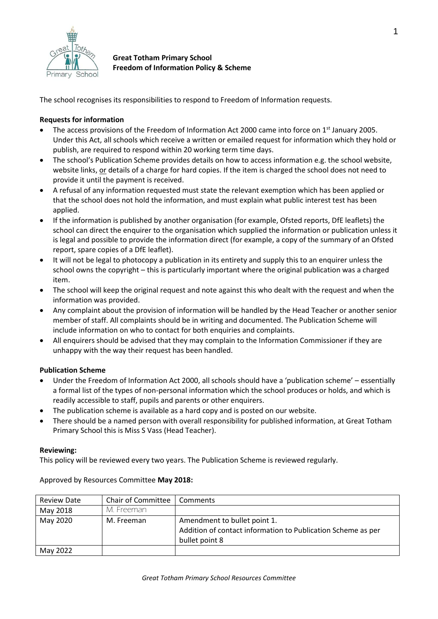

**Great Totham Primary School Freedom of Information Policy & Scheme**

The school recognises its responsibilities to respond to Freedom of Information requests.

### **Requests for information**

- The access provisions of the Freedom of Information Act 2000 came into force on 1<sup>st</sup> January 2005. Under this Act, all schools which receive a written or emailed request for information which they hold or publish, are required to respond within 20 working term time days.
- The school's Publication Scheme provides details on how to access information e.g. the school website, website links, or details of a charge for hard copies. If the item is charged the school does not need to provide it until the payment is received.
- A refusal of any information requested must state the relevant exemption which has been applied or that the school does not hold the information, and must explain what public interest test has been applied.
- If the information is published by another organisation (for example, Ofsted reports, DfE leaflets) the school can direct the enquirer to the organisation which supplied the information or publication unless it is legal and possible to provide the information direct (for example, a copy of the summary of an Ofsted report, spare copies of a DfE leaflet).
- It will not be legal to photocopy a publication in its entirety and supply this to an enquirer unless the school owns the copyright – this is particularly important where the original publication was a charged item.
- The school will keep the original request and note against this who dealt with the request and when the information was provided.
- Any complaint about the provision of information will be handled by the Head Teacher or another senior member of staff. All complaints should be in writing and documented. The Publication Scheme will include information on who to contact for both enquiries and complaints.
- All enquirers should be advised that they may complain to the Information Commissioner if they are unhappy with the way their request has been handled.

## **Publication Scheme**

- Under the Freedom of Information Act 2000, all schools should have a 'publication scheme' essentially a formal list of the types of non-personal information which the school produces or holds, and which is readily accessible to staff, pupils and parents or other enquirers.
- The publication scheme is available as a hard copy and is posted on our website.
- There should be a named person with overall responsibility for published information, at Great Totham Primary School this is Miss S Vass (Head Teacher).

### **Reviewing:**

This policy will be reviewed every two years. The Publication Scheme is reviewed regularly.

Review Date  $\vert$  Chair of Committee  $\vert$  Comments May 2018 | M. Freeman May 2020 | M. Freeman | Amendment to bullet point 1. Addition of contact information to Publication Scheme as per bullet point 8 May 2022

Approved by Resources Committee **May 2018:**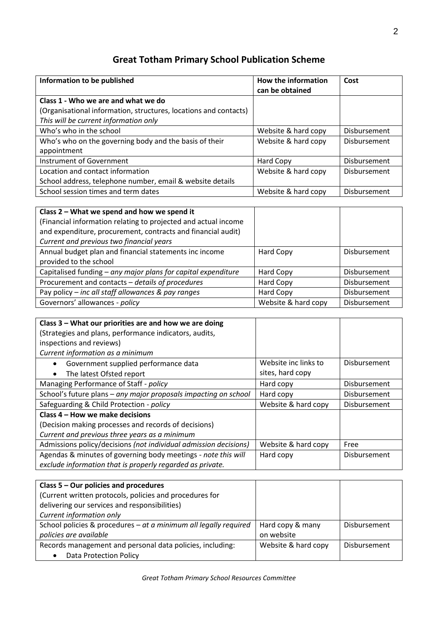# **Great Totham Primary School Publication Scheme**

| Information to be published                                      | How the information<br>can be obtained | Cost                |
|------------------------------------------------------------------|----------------------------------------|---------------------|
| Class 1 - Who we are and what we do                              |                                        |                     |
| (Organisational information, structures, locations and contacts) |                                        |                     |
| This will be current information only                            |                                        |                     |
| Who's who in the school                                          | Website & hard copy                    | <b>Disbursement</b> |
| Who's who on the governing body and the basis of their           | Website & hard copy                    | <b>Disbursement</b> |
| appointment                                                      |                                        |                     |
| Instrument of Government                                         | Hard Copy                              | <b>Disbursement</b> |
| Location and contact information                                 | Website & hard copy                    | <b>Disbursement</b> |
| School address, telephone number, email & website details        |                                        |                     |
| School session times and term dates                              | Website & hard copy                    | Disbursement        |

| Class 2 – What we spend and how we spend it<br>(Financial information relating to projected and actual income<br>and expenditure, procurement, contracts and financial audit)<br>Current and previous two financial years |                     |                     |
|---------------------------------------------------------------------------------------------------------------------------------------------------------------------------------------------------------------------------|---------------------|---------------------|
| Annual budget plan and financial statements inc income<br>provided to the school                                                                                                                                          | Hard Copy           | Disbursement        |
| Capitalised funding - any major plans for capital expenditure                                                                                                                                                             | Hard Copy           | Disbursement        |
| Procurement and contacts - details of procedures                                                                                                                                                                          | Hard Copy           | Disbursement        |
| Pay policy – inc all staff allowances & pay ranges                                                                                                                                                                        | Hard Copy           | <b>Disbursement</b> |
| Governors' allowances - policy                                                                                                                                                                                            | Website & hard copy | Disbursement        |

| Class 3 – What our priorities are and how we are doing           |                      |              |
|------------------------------------------------------------------|----------------------|--------------|
| (Strategies and plans, performance indicators, audits,           |                      |              |
| inspections and reviews)                                         |                      |              |
| Current information as a minimum                                 |                      |              |
| Government supplied performance data                             | Website inc links to | Disbursement |
| The latest Ofsted report                                         | sites, hard copy     |              |
| Managing Performance of Staff - policy                           | Hard copy            | Disbursement |
| School's future plans - any major proposals impacting on school  | Hard copy            | Disbursement |
| Safeguarding & Child Protection - policy                         | Website & hard copy  | Disbursement |
| Class 4 – How we make decisions                                  |                      |              |
| (Decision making processes and records of decisions)             |                      |              |
| Current and previous three years as a minimum                    |                      |              |
| Admissions policy/decisions (not individual admission decisions) | Website & hard copy  | Free         |
| Agendas & minutes of governing body meetings - note this will    | Hard copy            | Disbursement |
| exclude information that is properly regarded as private.        |                      |              |

| Class $5 -$ Our policies and procedures                          |                     |              |
|------------------------------------------------------------------|---------------------|--------------|
| (Current written protocols, policies and procedures for          |                     |              |
| delivering our services and responsibilities)                    |                     |              |
| Current information only                                         |                     |              |
| School policies & procedures - at a minimum all legally required | Hard copy & many    | Disbursement |
| policies are available                                           | on website          |              |
| Records management and personal data policies, including:        | Website & hard copy | Disbursement |
| <b>Data Protection Policy</b>                                    |                     |              |